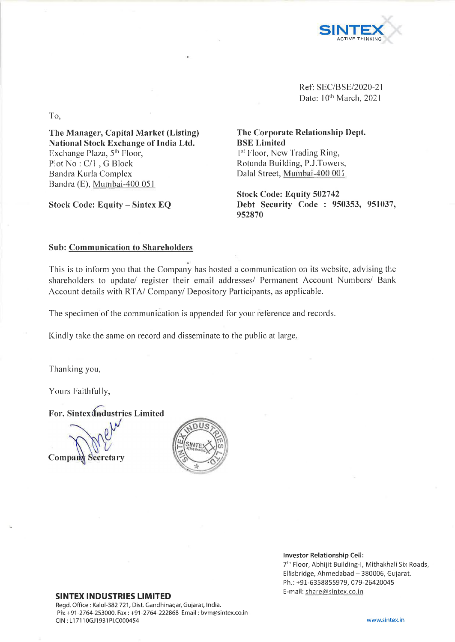

Ref: SEC/BSE/2020-21 Date: 10<sup>th</sup> March, 2021

To,

**The Manager, Capital Market (Listing) National Stock Exchange of India Ltd.** Exchange Plaza, 5<sup>th</sup> Floor, Plot No : C/l , G Block Bandra Kurla Complex Bandra (E), Mumbai-400 051

**Stock Code: Equity - Sintex EQ**

**The Corporate Relationship Dept. BSE Limited** <sup>1st</sup> Floor, New Trading Ring, Rotunda Building, P.J.Towers, Dalai Street, Mumbai-400 001

**Stock Code: Equity 502742 Debt Security Code : 950353, 951037, 952870**

## **Sub: Communication to Shareholders**

This is to inform you that the Company has hosted a communication on its website, advising the shareholders to update/ register their email addresses/ Permanent Account Numbers/ Bank Account details with RTA/ Company/ Depository Participants, as applicable.

The specimen of the communication is appended for your reference and records.

Kindly take the same on record and disseminate to the public at large.

Thanking you,

Yours Faithfully,

**For, Sintex(fndustries Limited**

Company Secretary



**Investor Relationship Cell:**

7th Floor, Abhijit Building-I, Mithakhali Six Roads, Ellisbridge, Ahmedabad  $-380006$ , Gujarat. Ph.: +91-6358855979, 079-26420045 E-mail: [share@ sintex.co.in](mailto:share@sintex.co.in)

## **SINTEX INDUSTRIES LIMITED**

Regd. Office : Kalol-382 721, Dist. Gandhinagar, Gujarat, India. Ph: +91 -2764-253000, Fax: +91 -2764-222868 Email: [bvm@sintex.co.in](mailto:bvm@sintex.co.in) CIN : LI 7110GJ1931PLC000454